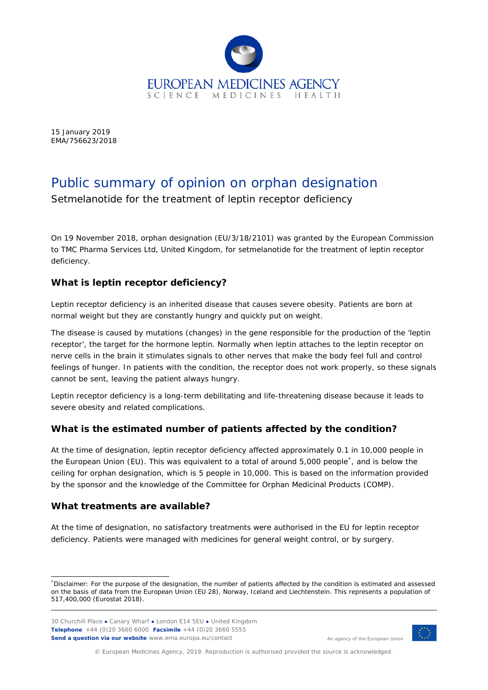

15 January 2019 EMA/756623/2018

# Public summary of opinion on orphan designation

Setmelanotide for the treatment of leptin receptor deficiency

On 19 November 2018, orphan designation (EU/3/18/2101) was granted by the European Commission to TMC Pharma Services Ltd, United Kingdom, for setmelanotide for the treatment of leptin receptor deficiency.

## **What is leptin receptor deficiency?**

Leptin receptor deficiency is an inherited disease that causes severe obesity. Patients are born at normal weight but they are constantly hungry and quickly put on weight.

The disease is caused by mutations (changes) in the gene responsible for the production of the 'leptin receptor', the target for the hormone leptin. Normally when leptin attaches to the leptin receptor on nerve cells in the brain it stimulates signals to other nerves that make the body feel full and control feelings of hunger. In patients with the condition, the receptor does not work properly, so these signals cannot be sent, leaving the patient always hungry.

Leptin receptor deficiency is a long-term debilitating and life-threatening disease because it leads to severe obesity and related complications.

## **What is the estimated number of patients affected by the condition?**

At the time of designation, leptin receptor deficiency affected approximately 0.1 in 10,000 people in the European Union (EU). This was equivalent to a total of around 5,000 people[\\*](#page-0-0) , and is below the ceiling for orphan designation, which is 5 people in 10,000. This is based on the information provided by the sponsor and the knowledge of the Committee for Orphan Medicinal Products (COMP)*.*

## **What treatments are available?**

At the time of designation, no satisfactory treatments were authorised in the EU for leptin receptor deficiency. Patients were managed with medicines for general weight control, or by surgery.



An agency of the European Union

© European Medicines Agency, 2019. Reproduction is authorised provided the source is acknowledged.

<span id="page-0-0"></span> <sup>\*</sup> Disclaimer: For the purpose of the designation, the number of patients affected by the condition is estimated and assessed on the basis of data from the European Union (EU 28), Norway, Iceland and Liechtenstein. This represents a population of 517,400,000 (Eurostat 2018).

<sup>30</sup> Churchill Place **●** Canary Wharf **●** London E14 5EU **●** United Kingdom **Telephone** +44 (0)20 3660 6000 **Facsimile** +44 (0)20 3660 5555 **Send a question via our website** www.ema.europa.eu/contact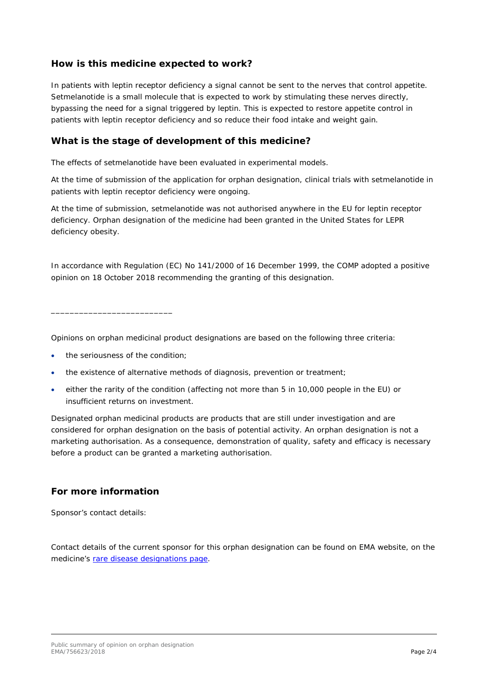#### **How is this medicine expected to work?**

In patients with leptin receptor deficiency a signal cannot be sent to the nerves that control appetite. Setmelanotide is a small molecule that is expected to work by stimulating these nerves directly, bypassing the need for a signal triggered by leptin. This is expected to restore appetite control in patients with leptin receptor deficiency and so reduce their food intake and weight gain.

#### **What is the stage of development of this medicine?**

The effects of setmelanotide have been evaluated in experimental models.

At the time of submission of the application for orphan designation, clinical trials with setmelanotide in patients with leptin receptor deficiency were ongoing.

At the time of submission, setmelanotide was not authorised anywhere in the EU for leptin receptor deficiency. Orphan designation of the medicine had been granted in the United States for LEPR deficiency obesity.

In accordance with Regulation (EC) No 141/2000 of 16 December 1999, the COMP adopted a positive opinion on 18 October 2018 recommending the granting of this designation.

Opinions on orphan medicinal product designations are based on the following three criteria:

the seriousness of the condition:

\_\_\_\_\_\_\_\_\_\_\_\_\_\_\_\_\_\_\_\_\_\_\_\_\_\_

- the existence of alternative methods of diagnosis, prevention or treatment;
- either the rarity of the condition (affecting not more than 5 in 10,000 people in the EU) or insufficient returns on investment.

Designated orphan medicinal products are products that are still under investigation and are considered for orphan designation on the basis of potential activity. An orphan designation is not a marketing authorisation. As a consequence, demonstration of quality, safety and efficacy is necessary before a product can be granted a marketing authorisation.

#### **For more information**

Sponsor's contact details:

Contact details of the current sponsor for this orphan designation can be found on EMA website, on the medicine's [rare disease designations page.](http://www.ema.europa.eu/ema/index.jsp?curl=pages/medicines/landing/orphan_search.jsp&mid=WC0b01ac058001d12b)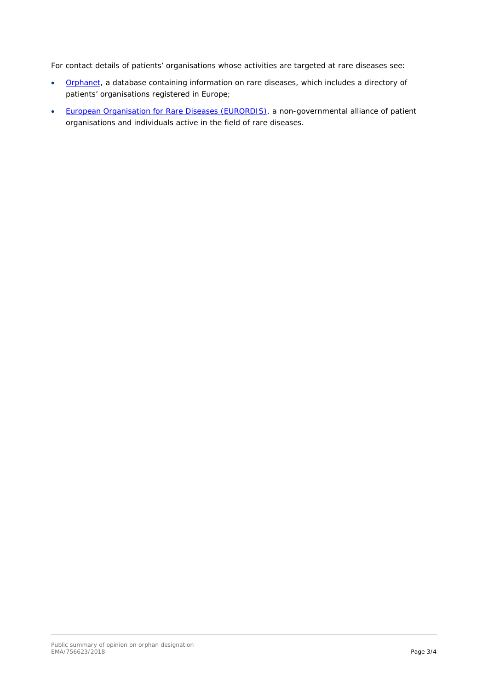For contact details of patients' organisations whose activities are targeted at rare diseases see:

- [Orphanet,](http://www.orpha.net/consor/cgi-bin/index.php) a database containing information on rare diseases, which includes a directory of patients' organisations registered in Europe;
- [European Organisation for Rare Diseases \(EURORDIS\),](https://www.eurordis.org/disease_search) a non-governmental alliance of patient organisations and individuals active in the field of rare diseases.